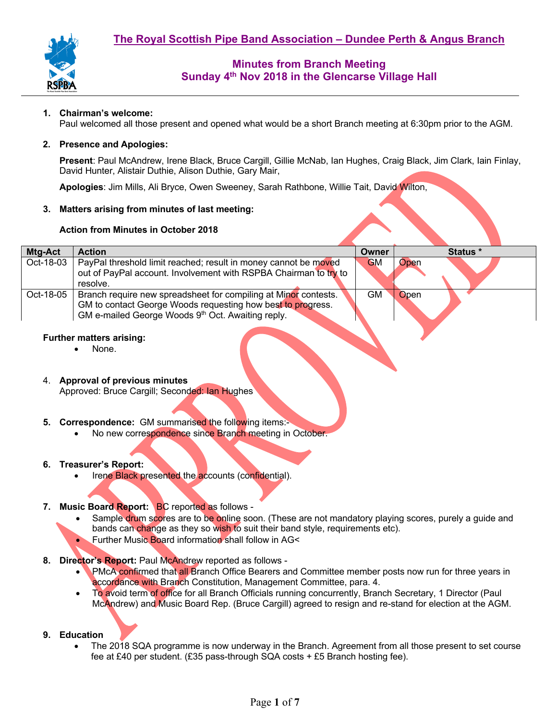

## **1. Chairman's welcome:**

Paul welcomed all those present and opened what would be a short Branch meeting at 6:30pm prior to the AGM.

### **2. Presence and Apologies:**

**Present**: Paul McAndrew, Irene Black, Bruce Cargill, Gillie McNab, Ian Hughes, Craig Black, Jim Clark, Iain Finlay, David Hunter, Alistair Duthie, Alison Duthie, Gary Mair,

**Apologies**: Jim Mills, Ali Bryce, Owen Sweeney, Sarah Rathbone, Willie Tait, David Wilton,

## **3. Matters arising from minutes of last meeting:**

## **Action from Minutes in October 2018**

| Mtg-Act   | <b>Action</b>                                                    | Owner     |             | Status * |
|-----------|------------------------------------------------------------------|-----------|-------------|----------|
| Oct-18-03 | PayPal threshold limit reached; result in money cannot be moved  | <b>GM</b> | Open        |          |
|           | out of PayPal account. Involvement with RSPBA Chairman to try to |           |             |          |
|           | resolve.                                                         |           |             |          |
| Oct-18-05 | Branch require new spreadsheet for compiling at Minor contests.  | GM.       | <b>Open</b> |          |
|           | GM to contact George Woods requesting how best to progress.      |           |             |          |
|           | GM e-mailed George Woods 9th Oct. Awaiting reply.                |           |             |          |
|           |                                                                  |           |             |          |

### **Further matters arising:**

- None.
- 4. **Approval of previous minutes**  Approved: Bruce Cargill; Seconded: Ian Hughes
- **5. Correspondence:** GM summarised the following items:-
	- No new correspondence since Branch meeting in October.

### **6. Treasurer's Report:**

Irene Black presented the accounts (confidential).

### **7. Music Board Report:** BC reported as follows -

- Sample drum scores are to be online soon. (These are not mandatory playing scores, purely a guide and bands can change as they so wish to suit their band style, requirements etc).
- Further Music Board information shall follow in AG<
- **8. Director's Report:** Paul McAndrew reported as follows
	- PMcA confirmed that all Branch Office Bearers and Committee member posts now run for three years in accordance with Branch Constitution, Management Committee, para. 4.
	- To avoid term of office for all Branch Officials running concurrently, Branch Secretary, 1 Director (Paul McAndrew) and Music Board Rep. (Bruce Cargill) agreed to resign and re-stand for election at the AGM.

### **9. Education**

• The 2018 SQA programme is now underway in the Branch. Agreement from all those present to set course fee at £40 per student. (£35 pass-through SQA costs + £5 Branch hosting fee).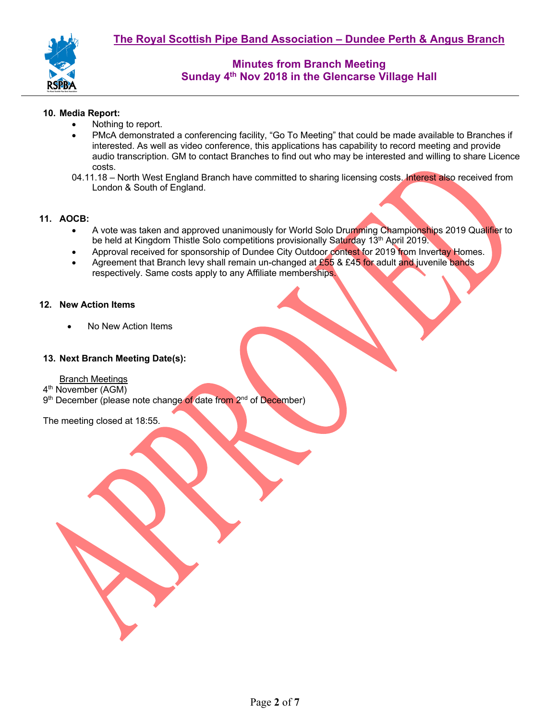

## **10. Media Report:**

- Nothing to report.
- PMcA demonstrated a conferencing facility, "Go To Meeting" that could be made available to Branches if interested. As well as video conference, this applications has capability to record meeting and provide audio transcription. GM to contact Branches to find out who may be interested and willing to share Licence costs.
- 04.11.18 North West England Branch have committed to sharing licensing costs. Interest also received from London & South of England.

## **11. AOCB:**

- A vote was taken and approved unanimously for World Solo Drumming Championships 2019 Qualifier to be held at Kingdom Thistle Solo competitions provisionally Saturday 13<sup>th</sup> April 2019.
- Approval received for sponsorship of Dundee City Outdoor contest for 2019 from Invertay Homes.
- Agreement that Branch levy shall remain un-changed at  $£55$  & £45 for adult and juvenile bands respectively. Same costs apply to any Affiliate memberships.

### **12. New Action Items**

• No New Action Items

## **13. Next Branch Meeting Date(s):**

Branch Meetings

- 4th November (AGM)
- 9<sup>th</sup> December (please note change of date from 2<sup>nd</sup> of December)

The meeting closed at 18:55.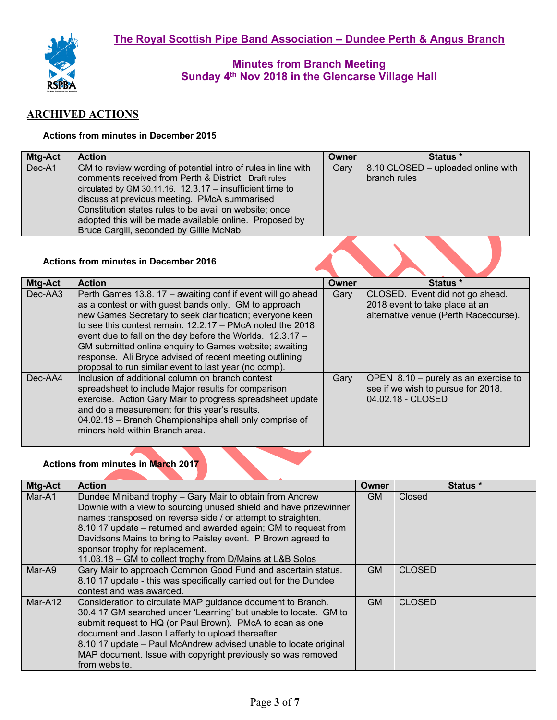

# **ARCHIVED ACTIONS**

## **Actions from minutes in December 2015**

| <b>Mtg-Act</b> | <b>Action</b>                                                                                                                                                                                                                                                                                                                                           | Owner | <b>Status</b> *                                    |
|----------------|---------------------------------------------------------------------------------------------------------------------------------------------------------------------------------------------------------------------------------------------------------------------------------------------------------------------------------------------------------|-------|----------------------------------------------------|
| Dec-A1         | GM to review wording of potential intro of rules in line with<br>comments received from Perth & District. Draft rules<br>circulated by GM 30.11.16. 12.3.17 - insufficient time to<br>discuss at previous meeting. PMcA summarised<br>Constitution states rules to be avail on website; once<br>adopted this will be made available online. Proposed by | Gary  | 8.10 CLOSED - uploaded online with<br>branch rules |
|                | Bruce Cargill, seconded by Gillie McNab.                                                                                                                                                                                                                                                                                                                |       |                                                    |

## **Actions from minutes in December 2016**

| Mtg-Act | <b>Action</b>                                                                                                                                                                                                                                                                                                                                                                                                                                                                              | Owner | Status *                                                                                                   |
|---------|--------------------------------------------------------------------------------------------------------------------------------------------------------------------------------------------------------------------------------------------------------------------------------------------------------------------------------------------------------------------------------------------------------------------------------------------------------------------------------------------|-------|------------------------------------------------------------------------------------------------------------|
| Dec-AA3 | Perth Games 13.8. 17 – awaiting conf if event will go ahead<br>as a contest or with guest bands only. GM to approach<br>new Games Secretary to seek clarification; everyone keen<br>to see this contest remain. $12.2.17 - PMcA$ noted the 2018<br>event due to fall on the day before the Worlds. 12.3.17 -<br>GM submitted online enquiry to Games website; awaiting<br>response. Ali Bryce advised of recent meeting outlining<br>proposal to run similar event to last year (no comp). | Gary  | CLOSED. Event did not go ahead.<br>2018 event to take place at an<br>alternative venue (Perth Racecourse). |
| Dec-AA4 | Inclusion of additional column on branch contest<br>spreadsheet to include Major results for comparison<br>exercise. Action Gary Mair to progress spreadsheet update<br>and do a measurement for this year's results.<br>04.02.18 - Branch Championships shall only comprise of<br>minors held within Branch area.                                                                                                                                                                         | Gary  | OPEN $8.10 -$ purely as an exercise to<br>see if we wish to pursue for 2018.<br>04.02.18 - CLOSED          |

### **Actions from minutes in March 2017**

| <b>Mtg-Act</b> | <b>Action</b>                                                                                                                                                                                                                                                                                                                                                                                                                    | Owner     | Status *      |
|----------------|----------------------------------------------------------------------------------------------------------------------------------------------------------------------------------------------------------------------------------------------------------------------------------------------------------------------------------------------------------------------------------------------------------------------------------|-----------|---------------|
| Mar-A1         | Dundee Miniband trophy - Gary Mair to obtain from Andrew<br>Downie with a view to sourcing unused shield and have prizewinner<br>names transposed on reverse side / or attempt to straighten.<br>8.10.17 update – returned and awarded again; GM to request from<br>Davidsons Mains to bring to Paisley event. P Brown agreed to<br>sponsor trophy for replacement.<br>11.03.18 – GM to collect trophy from D/Mains at L&B Solos | GM.       | Closed        |
| Mar-A9         | Gary Mair to approach Common Good Fund and ascertain status.<br>8.10.17 update - this was specifically carried out for the Dundee<br>contest and was awarded.                                                                                                                                                                                                                                                                    | <b>GM</b> | <b>CLOSED</b> |
| Mar-A12        | Consideration to circulate MAP guidance document to Branch.<br>30.4.17 GM searched under 'Learning' but unable to locate. GM to<br>submit request to HQ (or Paul Brown). PMcA to scan as one<br>document and Jason Lafferty to upload thereafter.<br>8.10.17 update - Paul McAndrew advised unable to locate original<br>MAP document. Issue with copyright previously so was removed<br>from website.                           | <b>GM</b> | <b>CLOSED</b> |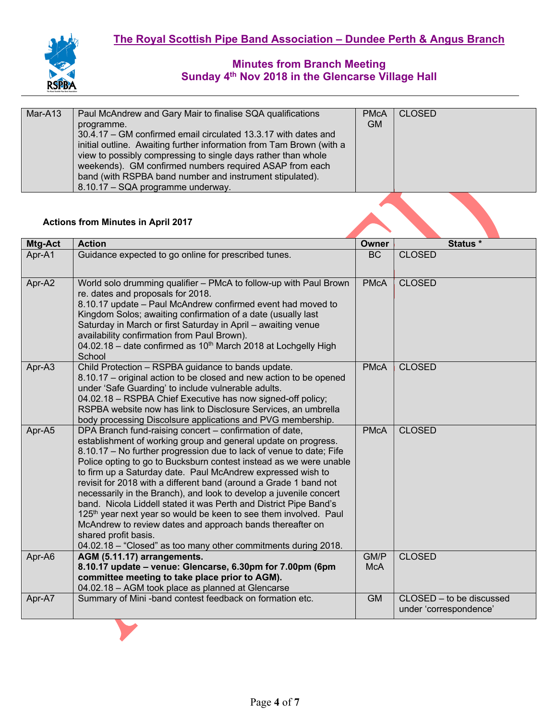

| Mar-A13 | Paul McAndrew and Gary Mair to finalise SQA qualifications           | <b>PMcA</b> | <b>CLOSED</b> |
|---------|----------------------------------------------------------------------|-------------|---------------|
|         | programme.                                                           | <b>GM</b>   |               |
|         | 30.4.17 – GM confirmed email circulated 13.3.17 with dates and       |             |               |
|         | initial outline. Awaiting further information from Tam Brown (with a |             |               |
|         | view to possibly compressing to single days rather than whole        |             |               |
|         | weekends). GM confirmed numbers required ASAP from each              |             |               |
|         | band (with RSPBA band number and instrument stipulated).             |             |               |
|         | 8.10.17 - SQA programme underway.                                    |             |               |

# **Actions from Minutes in April 2017**

| Mtg-Act | <b>Action</b>                                                                                                                                                                                                                                                                                                                                                                                                                                                                                                                                                                                                                                                                                                                                                                                | <b>Owner</b>       | Status *                                           |
|---------|----------------------------------------------------------------------------------------------------------------------------------------------------------------------------------------------------------------------------------------------------------------------------------------------------------------------------------------------------------------------------------------------------------------------------------------------------------------------------------------------------------------------------------------------------------------------------------------------------------------------------------------------------------------------------------------------------------------------------------------------------------------------------------------------|--------------------|----------------------------------------------------|
| Apr-A1  | Guidance expected to go online for prescribed tunes.                                                                                                                                                                                                                                                                                                                                                                                                                                                                                                                                                                                                                                                                                                                                         | <b>BC</b>          | <b>CLOSED</b>                                      |
| Apr-A2  | World solo drumming qualifier - PMcA to follow-up with Paul Brown<br>re. dates and proposals for 2018.<br>8.10.17 update - Paul McAndrew confirmed event had moved to<br>Kingdom Solos; awaiting confirmation of a date (usually last<br>Saturday in March or first Saturday in April - awaiting venue<br>availability confirmation from Paul Brown).<br>04.02.18 - date confirmed as 10 <sup>th</sup> March 2018 at Lochgelly High<br>School                                                                                                                                                                                                                                                                                                                                                | <b>PMcA</b>        | <b>CLOSED</b>                                      |
| Apr-A3  | Child Protection - RSPBA guidance to bands update.<br>8.10.17 – original action to be closed and new action to be opened<br>under 'Safe Guarding' to include vulnerable adults.<br>04.02.18 - RSPBA Chief Executive has now signed-off policy;<br>RSPBA website now has link to Disclosure Services, an umbrella<br>body processing Discolsure applications and PVG membership.                                                                                                                                                                                                                                                                                                                                                                                                              | <b>PMcA</b>        | <b>CLOSED</b>                                      |
| Apr-A5  | DPA Branch fund-raising concert – confirmation of date,<br>establishment of working group and general update on progress.<br>8.10.17 - No further progression due to lack of venue to date; Fife<br>Police opting to go to Bucksburn contest instead as we were unable<br>to firm up a Saturday date. Paul McAndrew expressed wish to<br>revisit for 2018 with a different band (around a Grade 1 band not<br>necessarily in the Branch), and look to develop a juvenile concert<br>band. Nicola Liddell stated it was Perth and District Pipe Band's<br>125 <sup>th</sup> year next year so would be keen to see them involved. Paul<br>McAndrew to review dates and approach bands thereafter on<br>shared profit basis.<br>04.02.18 - "Closed" as too many other commitments during 2018. | <b>PMcA</b>        | <b>CLOSED</b>                                      |
| Apr-A6  | AGM (5.11.17) arrangements.<br>8.10.17 update - venue: Glencarse, 6.30pm for 7.00pm (6pm<br>committee meeting to take place prior to AGM).<br>04.02.18 - AGM took place as planned at Glencarse                                                                                                                                                                                                                                                                                                                                                                                                                                                                                                                                                                                              | GM/P<br><b>McA</b> | <b>CLOSED</b>                                      |
| Apr-A7  | Summary of Mini-band contest feedback on formation etc.                                                                                                                                                                                                                                                                                                                                                                                                                                                                                                                                                                                                                                                                                                                                      | <b>GM</b>          | CLOSED – to be discussed<br>under 'correspondence' |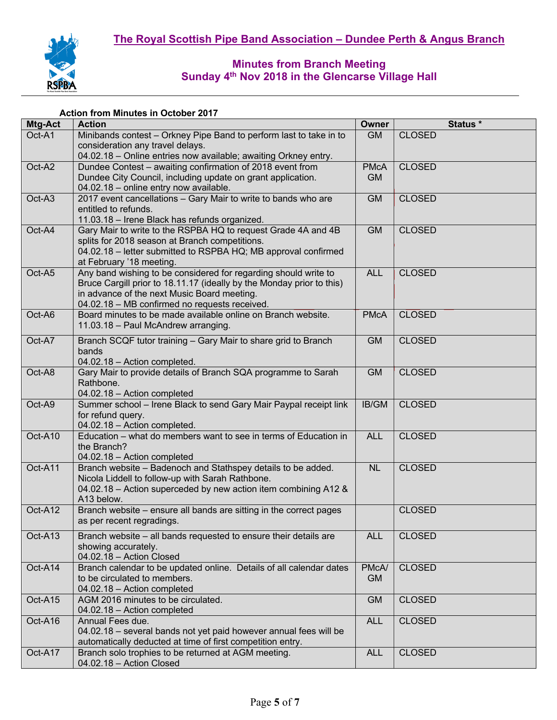

### **Action from Minutes in October 2017**

| Mtg-Act | <b>Action</b>                                                                                                                | <b>Owner</b> | Status *      |
|---------|------------------------------------------------------------------------------------------------------------------------------|--------------|---------------|
| Oct-A1  | Minibands contest - Orkney Pipe Band to perform last to take in to                                                           | <b>GM</b>    | <b>CLOSED</b> |
|         | consideration any travel delays.                                                                                             |              |               |
| Oct-A2  | 04.02.18 - Online entries now available; awaiting Orkney entry.<br>Dundee Contest - awaiting confirmation of 2018 event from | <b>PMcA</b>  | <b>CLOSED</b> |
|         | Dundee City Council, including update on grant application.                                                                  | <b>GM</b>    |               |
|         | 04.02.18 - online entry now available.                                                                                       |              |               |
| Oct-A3  | 2017 event cancellations - Gary Mair to write to bands who are                                                               | <b>GM</b>    | <b>CLOSED</b> |
|         | entitled to refunds.                                                                                                         |              |               |
|         | 11.03.18 - Irene Black has refunds organized.                                                                                |              |               |
| Oct-A4  | Gary Mair to write to the RSPBA HQ to request Grade 4A and 4B                                                                | <b>GM</b>    | <b>CLOSED</b> |
|         | splits for 2018 season at Branch competitions.                                                                               |              |               |
|         | 04.02.18 - letter submitted to RSPBA HQ; MB approval confirmed                                                               |              |               |
|         | at February '18 meeting.                                                                                                     |              |               |
| Oct-A5  | Any band wishing to be considered for regarding should write to                                                              | <b>ALL</b>   | <b>CLOSED</b> |
|         | Bruce Cargill prior to 18.11.17 (ideally by the Monday prior to this)                                                        |              |               |
|         | in advance of the next Music Board meeting.                                                                                  |              |               |
|         | 04.02.18 - MB confirmed no requests received.<br>Board minutes to be made available online on Branch website.                |              |               |
| Oct-A6  | 11.03.18 - Paul McAndrew arranging.                                                                                          | <b>PMcA</b>  | <b>CLOSED</b> |
|         |                                                                                                                              |              |               |
| Oct-A7  | Branch SCQF tutor training - Gary Mair to share grid to Branch                                                               | <b>GM</b>    | <b>CLOSED</b> |
|         | bands                                                                                                                        |              |               |
|         | 04.02.18 - Action completed.                                                                                                 |              |               |
| Oct-A8  | Gary Mair to provide details of Branch SQA programme to Sarah<br>Rathbone.                                                   | <b>GM</b>    | <b>CLOSED</b> |
|         | 04.02.18 - Action completed                                                                                                  |              |               |
| Oct-A9  | Summer school - Irene Black to send Gary Mair Paypal receipt link                                                            | IB/GM        | <b>CLOSED</b> |
|         | for refund query.                                                                                                            |              |               |
|         | 04.02.18 - Action completed.                                                                                                 |              |               |
| Oct-A10 | Education – what do members want to see in terms of Education in                                                             | <b>ALL</b>   | <b>CLOSED</b> |
|         | the Branch?                                                                                                                  |              |               |
|         | 04.02.18 - Action completed                                                                                                  |              |               |
| Oct-A11 | Branch website - Badenoch and Stathspey details to be added.                                                                 | <b>NL</b>    | <b>CLOSED</b> |
|         | Nicola Liddell to follow-up with Sarah Rathbone.                                                                             |              |               |
|         | 04.02.18 - Action superceded by new action item combining A12 &                                                              |              |               |
|         | A13 below.                                                                                                                   |              |               |
| Oct-A12 | Branch website - ensure all bands are sitting in the correct pages<br>as per recent regradings.                              |              | <b>CLOSED</b> |
|         |                                                                                                                              |              |               |
| Oct-A13 | Branch website - all bands requested to ensure their details are                                                             | <b>ALL</b>   | <b>CLOSED</b> |
|         | showing accurately.                                                                                                          |              |               |
|         | 04.02.18 - Action Closed                                                                                                     |              |               |
| Oct-A14 | Branch calendar to be updated online. Details of all calendar dates                                                          | PMcA/        | <b>CLOSED</b> |
|         | to be circulated to members.<br>04.02.18 - Action completed                                                                  | <b>GM</b>    |               |
| Oct-A15 | AGM 2016 minutes to be circulated.                                                                                           | <b>GM</b>    | <b>CLOSED</b> |
|         | 04.02.18 - Action completed                                                                                                  |              |               |
| Oct-A16 | Annual Fees due.                                                                                                             | <b>ALL</b>   | <b>CLOSED</b> |
|         | 04.02.18 - several bands not yet paid however annual fees will be                                                            |              |               |
|         | automatically deducted at time of first competition entry.                                                                   |              |               |
| Oct-A17 | Branch solo trophies to be returned at AGM meeting.                                                                          | <b>ALL</b>   | <b>CLOSED</b> |
|         | 04.02.18 - Action Closed                                                                                                     |              |               |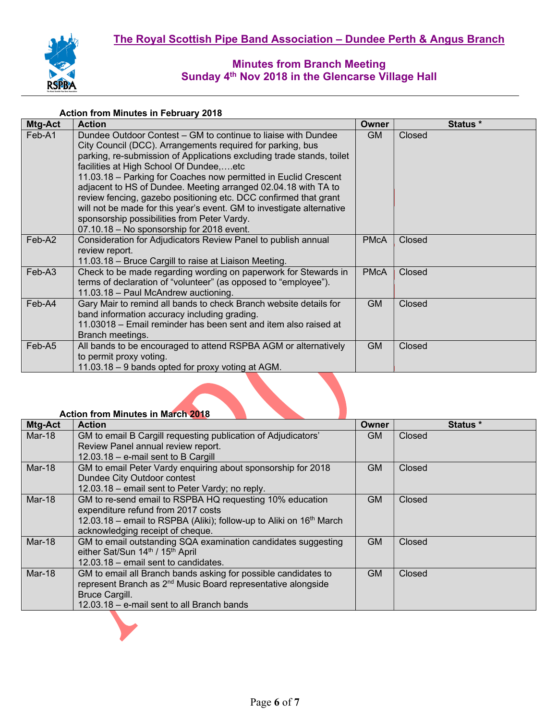

#### **Action from Minutes in February 2018**

| Mtg-Act | <b>Action</b>                                                                                                                                                                                                                                                                                                                                                                                                                                                                                                                                                                                                                 | Owner       | Status * |
|---------|-------------------------------------------------------------------------------------------------------------------------------------------------------------------------------------------------------------------------------------------------------------------------------------------------------------------------------------------------------------------------------------------------------------------------------------------------------------------------------------------------------------------------------------------------------------------------------------------------------------------------------|-------------|----------|
| Feb-A1  | Dundee Outdoor Contest – GM to continue to liaise with Dundee<br>City Council (DCC). Arrangements required for parking, bus<br>parking, re-submission of Applications excluding trade stands, toilet<br>facilities at High School Of Dundee,etc<br>11.03.18 - Parking for Coaches now permitted in Euclid Crescent<br>adjacent to HS of Dundee. Meeting arranged 02.04.18 with TA to<br>review fencing, gazebo positioning etc. DCC confirmed that grant<br>will not be made for this year's event. GM to investigate alternative<br>sponsorship possibilities from Peter Vardy.<br>07.10.18 - No sponsorship for 2018 event. | <b>GM</b>   | Closed   |
| Feb-A2  | Consideration for Adjudicators Review Panel to publish annual<br>review report.<br>11.03.18 – Bruce Cargill to raise at Liaison Meeting.                                                                                                                                                                                                                                                                                                                                                                                                                                                                                      | <b>PMcA</b> | Closed   |
| Feb-A3  | Check to be made regarding wording on paperwork for Stewards in<br>terms of declaration of "volunteer" (as opposed to "employee").<br>11.03.18 - Paul McAndrew auctioning.                                                                                                                                                                                                                                                                                                                                                                                                                                                    | <b>PMcA</b> | Closed   |
| Feb-A4  | Gary Mair to remind all bands to check Branch website details for<br>band information accuracy including grading.<br>11.03018 – Email reminder has been sent and item also raised at<br>Branch meetings.                                                                                                                                                                                                                                                                                                                                                                                                                      | <b>GM</b>   | Closed   |
| Feb-A5  | All bands to be encouraged to attend RSPBA AGM or alternatively<br>to permit proxy voting.<br>11.03.18 – 9 bands opted for proxy voting at AGM.                                                                                                                                                                                                                                                                                                                                                                                                                                                                               | <b>GM</b>   | Closed   |

## **Action from Minutes in March 2018**

| Mtg-Act | <b>Action</b>                                                            | Owner     | <b>Status</b> * |
|---------|--------------------------------------------------------------------------|-----------|-----------------|
| Mar-18  | GM to email B Cargill requesting publication of Adjudicators'            | <b>GM</b> | Closed          |
|         | Review Panel annual review report.                                       |           |                 |
|         | 12.03.18 - e-mail sent to B Cargill                                      |           |                 |
| Mar-18  | GM to email Peter Vardy enquiring about sponsorship for 2018             | <b>GM</b> | Closed          |
|         | Dundee City Outdoor contest                                              |           |                 |
|         | 12.03.18 – email sent to Peter Vardy; no reply.                          |           |                 |
| Mar-18  | GM to re-send email to RSPBA HQ requesting 10% education                 | <b>GM</b> | Closed          |
|         | expenditure refund from 2017 costs                                       |           |                 |
|         | 12.03.18 – email to RSPBA (Aliki); follow-up to Aliki on $16th$ March    |           |                 |
|         | acknowledging receipt of cheque.                                         |           |                 |
| Mar-18  | GM to email outstanding SQA examination candidates suggesting            | <b>GM</b> | Closed          |
|         | either Sat/Sun 14th / 15th April                                         |           |                 |
|         | 12.03.18 - email sent to candidates.                                     |           |                 |
| Mar-18  | GM to email all Branch bands asking for possible candidates to           | <b>GM</b> | <b>Closed</b>   |
|         | represent Branch as 2 <sup>nd</sup> Music Board representative alongside |           |                 |
|         | <b>Bruce Cargill.</b>                                                    |           |                 |
|         | 12.03.18 - e-mail sent to all Branch bands                               |           |                 |